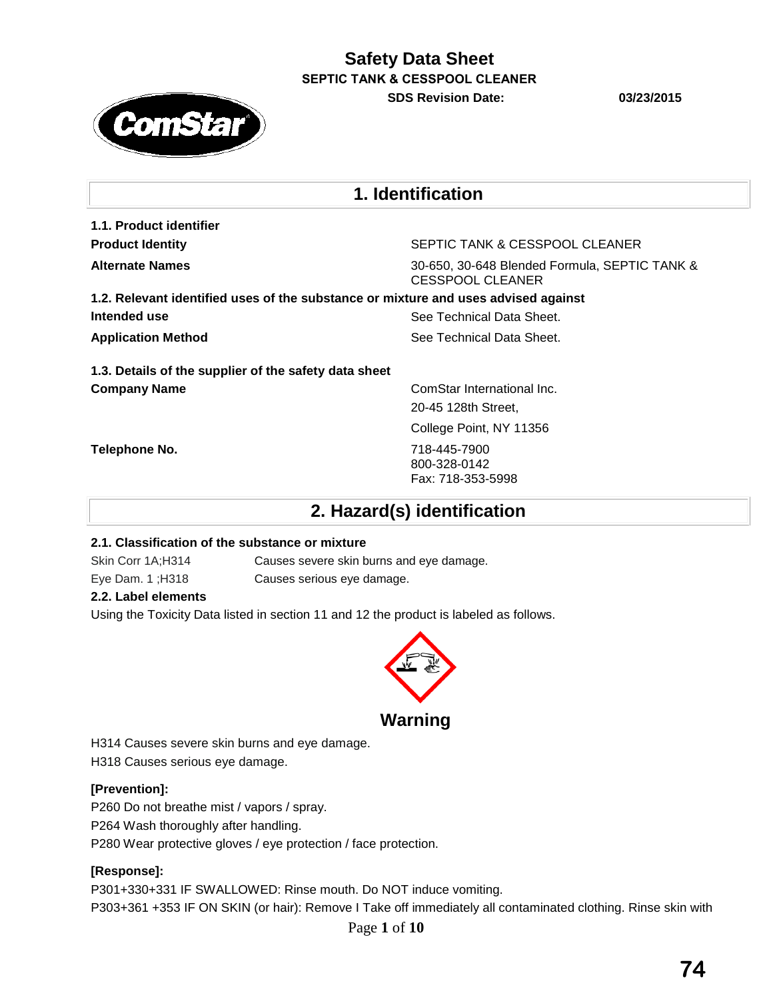**SDS Revision Date: 03/23/2015**



# **1. Identification**

**1.1. Product identifier**

**Product Identity** SEPTIC TANK & CESSPOOL CLEANER

**Alternate Names** 30-650, 30-648 Blended Formula, SEPTIC TANK & CESSPOOL CLEANER

**1.2. Relevant identified uses of the substance or mixture and uses advised against Intended use** See Technical Data Sheet. **Application Method See Technical Data Sheet.** See Technical Data Sheet.

**1.3. Details of the supplier of the safety data sheet Company Name** ComStar International Inc.

20-45 128th Street,

College Point, NY 11356

**Telephone No.** 718-445-7900 800-328-0142 Fax: 718-353-5998

**2. Hazard(s) identification** 

### **2.1. Classification of the substance or mixture**

Skin Corr 1A;H314 Causes severe skin burns and eye damage. Eye Dam. 1 ;H318 Causes serious eye damage.

## **2.2. Label elements**

Using the Toxicity Data listed in section 11 and 12 the product is labeled as follows.



**Warning**

H314 Causes severe skin burns and eye damage. H318 Causes serious eye damage.

### **[Prevention]:**

P260 Do not breathe mist / vapors / spray. P264 Wash thoroughly after handling. P280 Wear protective gloves / eye protection / face protection.

## **[Response]:**

P301+330+331 IF SWALLOWED: Rinse mouth. Do NOT induce vomiting. P303+361 +353 IF ON SKIN (or hair): Remove I Take off immediately all contaminated clothing. Rinse skin with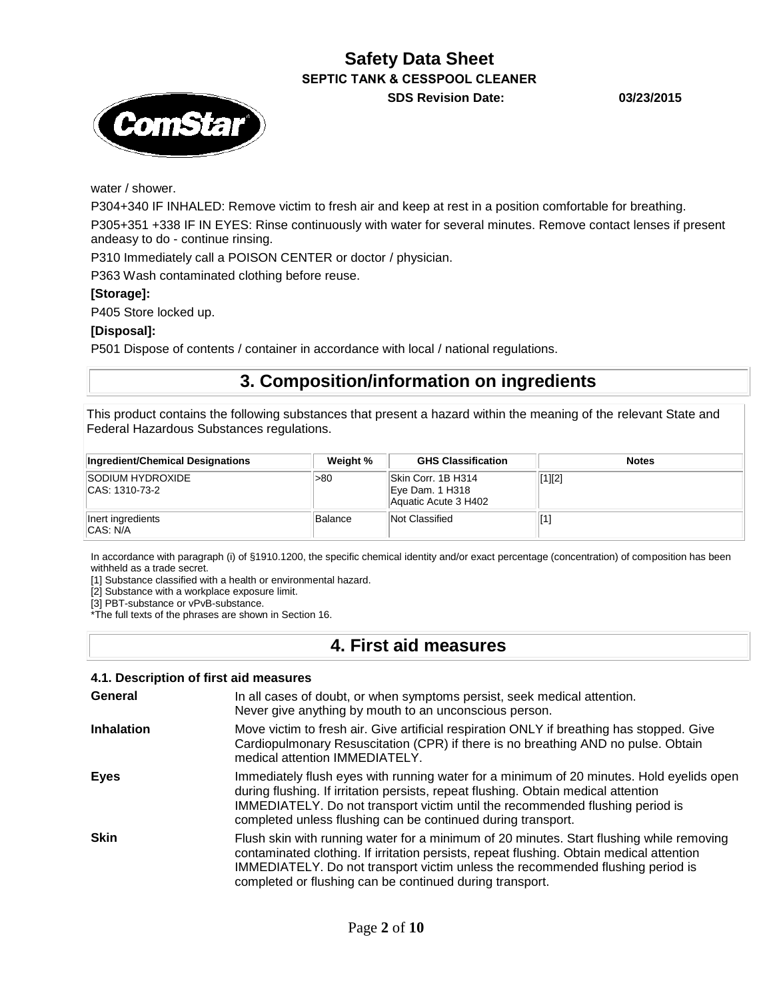**SDS Revision Date: 03/23/2015**



water / shower.

P304+340 IF INHALED: Remove victim to fresh air and keep at rest in a position comfortable for breathing. P305+351 +338 IF IN EYES: Rinse continuously with water for several minutes. Remove contact lenses if present andeasy to do - continue rinsing.

P310 Immediately call a POISON CENTER or doctor / physician.

P363 Wash contaminated clothing before reuse.

### **[Storage]:**

P405 Store locked up.

### **[Disposal]:**

P501 Dispose of contents / container in accordance with local / national regulations.

## **3. Composition/information on ingredients**

This product contains the following substances that present a hazard within the meaning of the relevant State and Federal Hazardous Substances regulations.

| Ingredient/Chemical Designations            | Weight %       | <b>GHS Classification</b>                                     | <b>Notes</b> |
|---------------------------------------------|----------------|---------------------------------------------------------------|--------------|
| <b>ISODIUM HYDROXIDE</b><br>ICAS: 1310-73-2 | -80            | Skin Corr. 1B H314<br>Eye Dam. 1 H318<br>Aquatic Acute 3 H402 | [1][2]       |
| Inert ingredients<br><b>CAS: N/A</b>        | <b>Balance</b> | Not Classified                                                |              |

In accordance with paragraph (i) of §1910.1200, the specific chemical identity and/or exact percentage (concentration) of composition has been withheld as a trade secret.

[1] Substance classified with a health or environmental hazard.

[2] Substance with a workplace exposure limit.

[3] PBT-substance or vPvB-substance.

\*The full texts of the phrases are shown in Section 16.

## **4. First aid measures**

| 4.1. Description of first aid measures |                                                                                                                                                                                                                                                                                                                                    |  |  |  |
|----------------------------------------|------------------------------------------------------------------------------------------------------------------------------------------------------------------------------------------------------------------------------------------------------------------------------------------------------------------------------------|--|--|--|
| General                                | In all cases of doubt, or when symptoms persist, seek medical attention.<br>Never give anything by mouth to an unconscious person.                                                                                                                                                                                                 |  |  |  |
| <b>Inhalation</b>                      | Move victim to fresh air. Give artificial respiration ONLY if breathing has stopped. Give<br>Cardiopulmonary Resuscitation (CPR) if there is no breathing AND no pulse. Obtain<br>medical attention IMMEDIATELY.                                                                                                                   |  |  |  |
| Eyes                                   | Immediately flush eyes with running water for a minimum of 20 minutes. Hold eyelids open<br>during flushing. If irritation persists, repeat flushing. Obtain medical attention<br>IMMEDIATELY. Do not transport victim until the recommended flushing period is<br>completed unless flushing can be continued during transport.    |  |  |  |
| <b>Skin</b>                            | Flush skin with running water for a minimum of 20 minutes. Start flushing while removing<br>contaminated clothing. If irritation persists, repeat flushing. Obtain medical attention<br>IMMEDIATELY. Do not transport victim unless the recommended flushing period is<br>completed or flushing can be continued during transport. |  |  |  |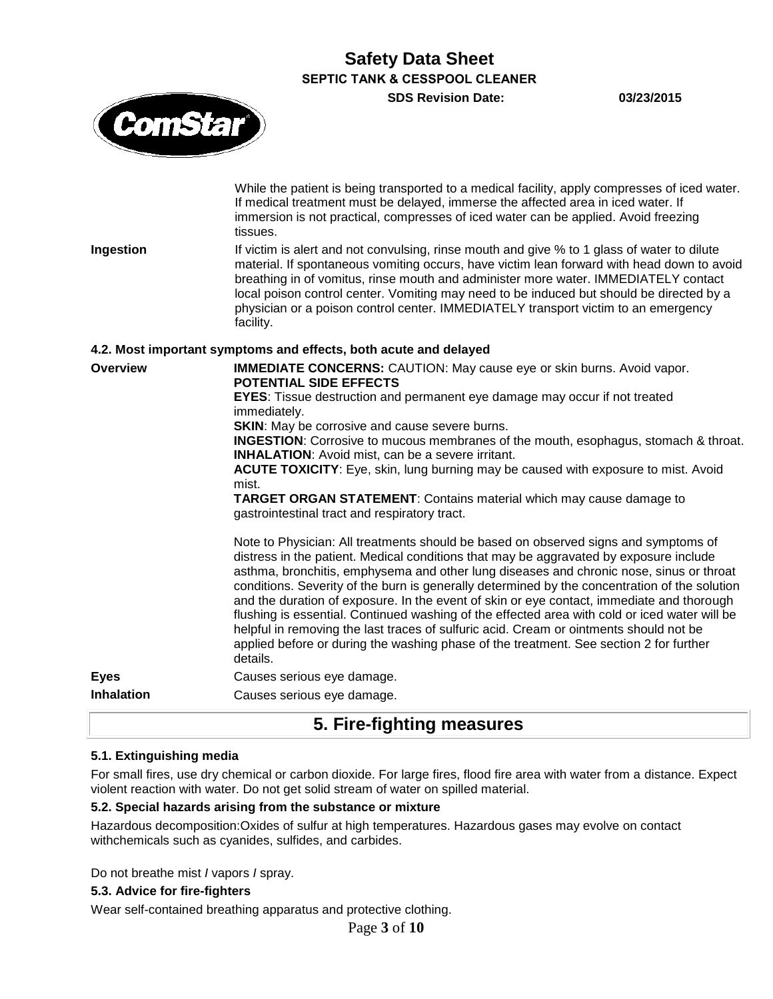**SDS Revision Date: 03/23/2015**

While the patient is being transported to a medical facility, apply compresses of iced water.



If medical treatment must be delayed, immerse the affected area in iced water. If immersion is not practical, compresses of iced water can be applied. Avoid freezing tissues. **Ingestion** If victim is alert and not convulsing, rinse mouth and give % to 1 glass of water to dilute material. If spontaneous vomiting occurs, have victim lean forward with head down to avoid breathing in of vomitus, rinse mouth and administer more water. IMMEDIATELY contact local poison control center. Vomiting may need to be induced but should be directed by a physician or a poison control center. IMMEDIATELY transport victim to an emergency facility. **4.2. Most important symptoms and effects, both acute and delayed Overview <b>IMMEDIATE CONCERNS:** CAUTION: May cause eye or skin burns. Avoid vapor. **POTENTIAL SIDE EFFECTS EYES**: Tissue destruction and permanent eye damage may occur if not treated immediately. **SKIN:** May be corrosive and cause severe burns. **INGESTION**: Corrosive to mucous membranes of the mouth, esophagus, stomach & throat. **INHALATION**: Avoid mist, can be a severe irritant. **ACUTE TOXICITY**: Eye, skin, lung burning may be caused with exposure to mist. Avoid mist. **TARGET ORGAN STATEMENT**: Contains material which may cause damage to gastrointestinal tract and respiratory tract. Note to Physician: All treatments should be based on observed signs and symptoms of distress in the patient. Medical conditions that may be aggravated by exposure include asthma, bronchitis, emphysema and other lung diseases and chronic nose, sinus or throat conditions. Severity of the burn is generally determined by the concentration of the solution and the duration of exposure. In the event of skin or eye contact, immediate and thorough flushing is essential. Continued washing of the effected area with cold or iced water will be helpful in removing the last traces of sulfuric acid. Cream or ointments should not be applied before or during the washing phase of the treatment. See section 2 for further details. **Eyes** Causes serious eye damage. **Inhalation Causes serious eye damage.** 

## **5. Fire-fighting measures**

### **5.1. Extinguishing media**

For small fires, use dry chemical or carbon dioxide. For large fires, flood fire area with water from a distance. Expect violent reaction with water. Do not get solid stream of water on spilled material.

### **5.2. Special hazards arising from the substance or mixture**

Hazardous decomposition:Oxides of sulfur at high temperatures. Hazardous gases may evolve on contact withchemicals such as cyanides, sulfides, and carbides.

Do not breathe mist *I* vapors *I* spray.

#### **5.3. Advice for fire-fighters**

Wear self-contained breathing apparatus and protective clothing.

Page **3** of **10**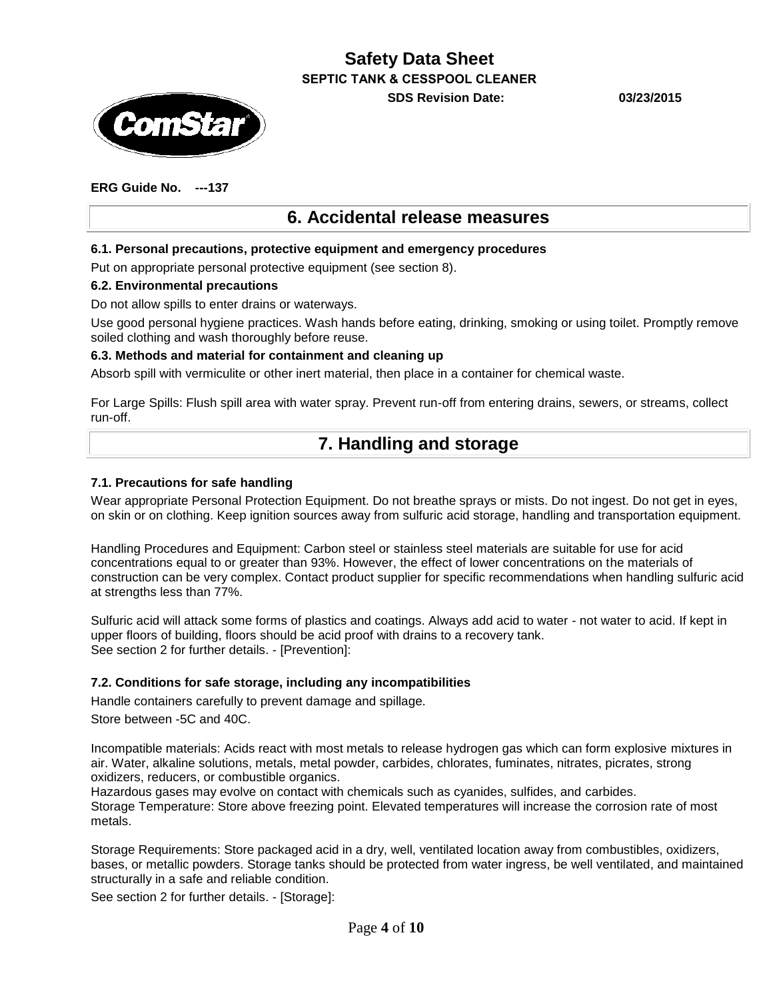

**SDS Revision Date: 03/23/2015**

## **ERG Guide No. ---137**

## **6. Accidental release measures**

### **6.1. Personal precautions, protective equipment and emergency procedures**

Put on appropriate personal protective equipment (see section 8).

#### **6.2. Environmental precautions**

Do not allow spills to enter drains or waterways.

Use good personal hygiene practices. Wash hands before eating, drinking, smoking or using toilet. Promptly remove soiled clothing and wash thoroughly before reuse.

#### **6.3. Methods and material for containment and cleaning up**

Absorb spill with vermiculite or other inert material, then place in a container for chemical waste.

For Large Spills: Flush spill area with water spray. Prevent run-off from entering drains, sewers, or streams, collect run-off.

## **7. Handling and storage**

### **7.1. Precautions for safe handling**

Wear appropriate Personal Protection Equipment. Do not breathe sprays or mists. Do not ingest. Do not get in eyes, on skin or on clothing. Keep ignition sources away from sulfuric acid storage, handling and transportation equipment.

Handling Procedures and Equipment: Carbon steel or stainless steel materials are suitable for use for acid concentrations equal to or greater than 93%. However, the effect of lower concentrations on the materials of construction can be very complex. Contact product supplier for specific recommendations when handling sulfuric acid at strengths less than 77%.

Sulfuric acid will attack some forms of plastics and coatings. Always add acid to water - not water to acid. If kept in upper floors of building, floors should be acid proof with drains to a recovery tank. See section 2 for further details. - [Prevention]:

### **7.2. Conditions for safe storage, including any incompatibilities**

Handle containers carefully to prevent damage and spillage.

Store between -5C and 40C.

Incompatible materials: Acids react with most metals to release hydrogen gas which can form explosive mixtures in air. Water, alkaline solutions, metals, metal powder, carbides, chlorates, fuminates, nitrates, picrates, strong oxidizers, reducers, or combustible organics.

Hazardous gases may evolve on contact with chemicals such as cyanides, sulfides, and carbides. Storage Temperature: Store above freezing point. Elevated temperatures will increase the corrosion rate of most metals.

Storage Requirements: Store packaged acid in a dry, well, ventilated location away from combustibles, oxidizers, bases, or metallic powders. Storage tanks should be protected from water ingress, be well ventilated, and maintained structurally in a safe and reliable condition.

See section 2 for further details. - [Storage]: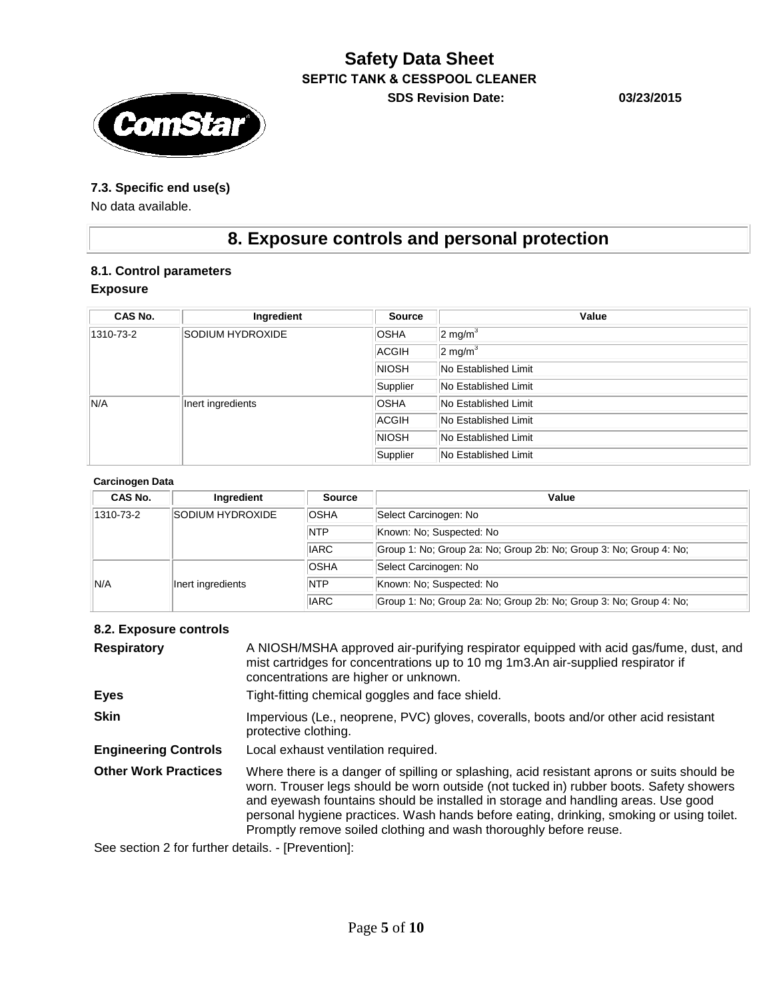## **Safety Data Sheet SEPTIC TANK & CESSPOOL CLEANER SDS Revision Date: 03/23/2015**

### **7.3. Specific end use(s)**

No data available.

# **8. Exposure controls and personal protection**

### **8.1. Control parameters**

#### **Exposure**

| CAS No.   | Ingredient        | <b>Source</b> | Value                |
|-----------|-------------------|---------------|----------------------|
| 1310-73-2 | SODIUM HYDROXIDE  | <b>OSHA</b>   | $2 \text{ mg/m}^3$   |
|           |                   | <b>ACGIH</b>  | $2 \text{ mg/m}^3$   |
|           |                   | <b>NIOSH</b>  | No Established Limit |
|           |                   | Supplier      | No Established Limit |
| N/A       | Inert ingredients | <b>OSHA</b>   | No Established Limit |
|           |                   | <b>ACGIH</b>  | No Established Limit |
|           |                   | <b>NIOSH</b>  | No Established Limit |
|           |                   | Supplier      | No Established Limit |

#### **Carcinogen Data**

| CAS No.   | Ingredient        | <b>Source</b> | Value                                                              |
|-----------|-------------------|---------------|--------------------------------------------------------------------|
| 1310-73-2 | SODIUM HYDROXIDE  | <b>OSHA</b>   | Select Carcinogen: No                                              |
|           |                   | <b>NTP</b>    | Known: No: Suspected: No                                           |
|           |                   | <b>IARC</b>   | Group 1: No: Group 2a: No: Group 2b: No: Group 3: No: Group 4: No: |
|           |                   | <b>OSHA</b>   | Select Carcinogen: No                                              |
| N/A       | Inert ingredients | <b>NTP</b>    | Known: No: Suspected: No                                           |
|           |                   | <b>IARC</b>   | Group 1: No: Group 2a: No: Group 2b: No: Group 3: No: Group 4: No: |

### **8.2. Exposure controls**

| <b>Respiratory</b>          | A NIOSH/MSHA approved air-purifying respirator equipped with acid gas/fume, dust, and<br>mist cartridges for concentrations up to 10 mg 1m3.An air-supplied respirator if<br>concentrations are higher or unknown.                                                                                                                                                                                                                         |
|-----------------------------|--------------------------------------------------------------------------------------------------------------------------------------------------------------------------------------------------------------------------------------------------------------------------------------------------------------------------------------------------------------------------------------------------------------------------------------------|
| <b>Eyes</b>                 | Tight-fitting chemical goggles and face shield.                                                                                                                                                                                                                                                                                                                                                                                            |
| <b>Skin</b>                 | Impervious (Le., neoprene, PVC) gloves, coveralls, boots and/or other acid resistant<br>protective clothing.                                                                                                                                                                                                                                                                                                                               |
| <b>Engineering Controls</b> | Local exhaust ventilation required.                                                                                                                                                                                                                                                                                                                                                                                                        |
| <b>Other Work Practices</b> | Where there is a danger of spilling or splashing, acid resistant aprons or suits should be<br>worn. Trouser legs should be worn outside (not tucked in) rubber boots. Safety showers<br>and eyewash fountains should be installed in storage and handling areas. Use good<br>personal hygiene practices. Wash hands before eating, drinking, smoking or using toilet.<br>Promptly remove soiled clothing and wash thoroughly before reuse. |

See section 2 for further details. - [Prevention]: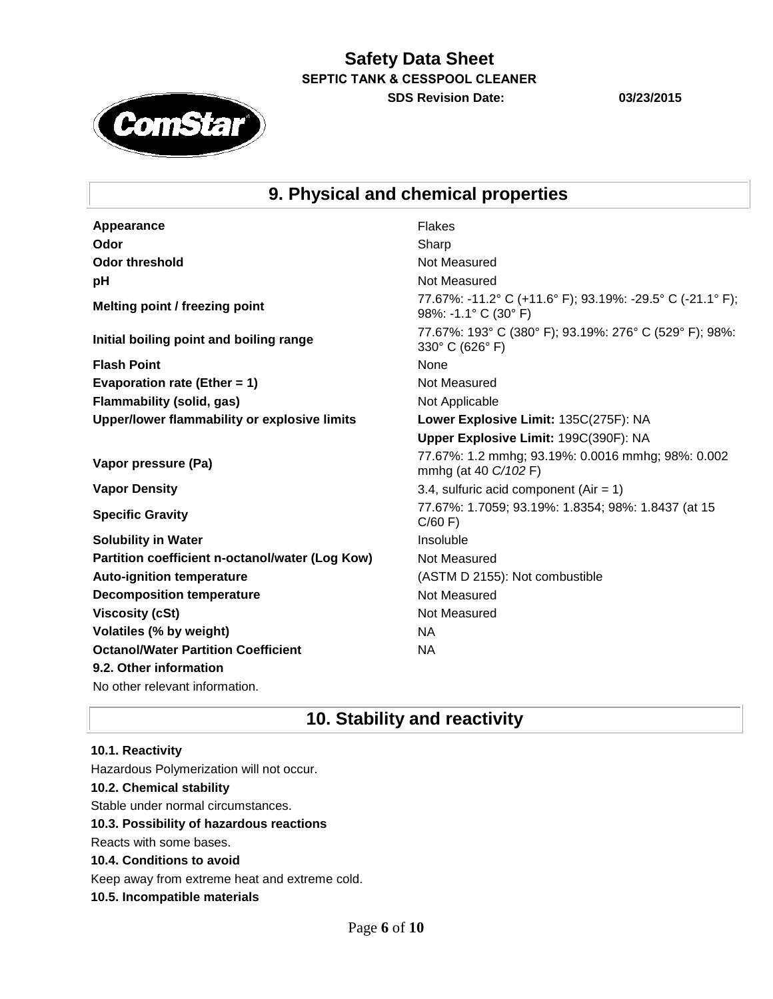**SDS Revision Date: 03/23/2015**

**ComStar** 

# **9. Physical and chemical properties**

| Appearance                                      | <b>Flakes</b>                                                                     |
|-------------------------------------------------|-----------------------------------------------------------------------------------|
| Odor                                            | Sharp                                                                             |
| <b>Odor threshold</b>                           | Not Measured                                                                      |
| pH                                              | Not Measured                                                                      |
| Melting point / freezing point                  | 77.67%: -11.2° C (+11.6° F); 93.19%: -29.5° C (-21.1° F);<br>98%: -1.1° C (30° F) |
| Initial boiling point and boiling range         | 77.67%: 193° C (380° F); 93.19%: 276° C (529° F); 98%:<br>330° C (626° F)         |
| <b>Flash Point</b>                              | None                                                                              |
| Evaporation rate (Ether = 1)                    | Not Measured                                                                      |
| Flammability (solid, gas)                       | Not Applicable                                                                    |
| Upper/lower flammability or explosive limits    | Lower Explosive Limit: 135C(275F): NA                                             |
|                                                 | Upper Explosive Limit: 199C(390F): NA                                             |
| Vapor pressure (Pa)                             | 77.67%: 1.2 mmhg; 93.19%: 0.0016 mmhg; 98%: 0.002<br>mmhg (at 40 C/102 F)         |
|                                                 |                                                                                   |
| <b>Vapor Density</b>                            | 3.4, sulfuric acid component (Air = $1$ )                                         |
| <b>Specific Gravity</b>                         | 77.67%: 1.7059; 93.19%: 1.8354; 98%: 1.8437 (at 15<br>C/60 F                      |
| <b>Solubility in Water</b>                      | Insoluble                                                                         |
| Partition coefficient n-octanol/water (Log Kow) | Not Measured                                                                      |
| <b>Auto-ignition temperature</b>                | (ASTM D 2155): Not combustible                                                    |
| <b>Decomposition temperature</b>                | Not Measured                                                                      |
| <b>Viscosity (cSt)</b>                          | Not Measured                                                                      |
| Volatiles (% by weight)                         | <b>NA</b>                                                                         |
| <b>Octanol/Water Partition Coefficient</b>      | <b>NA</b>                                                                         |

No other relevant information.

## **10. Stability and reactivity**

## **10.1. Reactivity** Hazardous Polymerization will not occur. **10.2. Chemical stability** Stable under normal circumstances. **10.3. Possibility of hazardous reactions** Reacts with some bases. **10.4. Conditions to avoid** Keep away from extreme heat and extreme cold.

**10.5. Incompatible materials**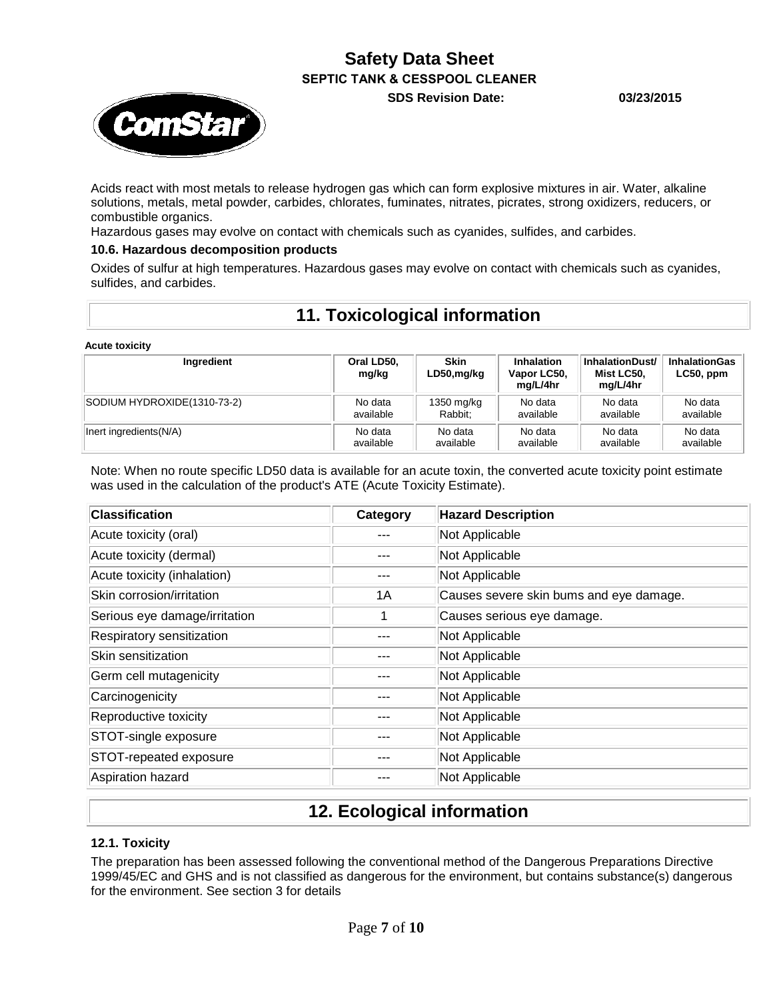**SDS Revision Date: 03/23/2015**



Acids react with most metals to release hydrogen gas which can form explosive mixtures in air. Water, alkaline solutions, metals, metal powder, carbides, chlorates, fuminates, nitrates, picrates, strong oxidizers, reducers, or combustible organics.

Hazardous gases may evolve on contact with chemicals such as cyanides, sulfides, and carbides.

### **10.6. Hazardous decomposition products**

Oxides of sulfur at high temperatures. Hazardous gases may evolve on contact with chemicals such as cyanides, sulfides, and carbides.

## **11. Toxicological information**

**Acute toxicity**

| Ingredient                  | Oral LD50,<br>mg/kg | <b>Skin</b><br>LD50,mg/kg | Inhalation<br>Vapor LC50,<br>mg/L/4hr | InhalationDust/<br>Mist LC50.<br>mg/L/4hr | <b>InhalationGas</b><br>$LC50$ , ppm |
|-----------------------------|---------------------|---------------------------|---------------------------------------|-------------------------------------------|--------------------------------------|
| SODIUM HYDROXIDE(1310-73-2) | No data             | 1350 mg/kg                | No data                               | No data                                   | No data                              |
|                             | available           | Rabbit:                   | available                             | available                                 | available                            |
| Inert ingredients(N/A)      | No data             | No data                   | No data                               | No data                                   | No data                              |
|                             | available           | available                 | available                             | available                                 | available                            |

Note: When no route specific LD50 data is available for an acute toxin, the converted acute toxicity point estimate was used in the calculation of the product's ATE (Acute Toxicity Estimate).

| <b>Classification</b>         | Category | <b>Hazard Description</b>               |
|-------------------------------|----------|-----------------------------------------|
| Acute toxicity (oral)         |          | Not Applicable                          |
| Acute toxicity (dermal)       |          | Not Applicable                          |
| Acute toxicity (inhalation)   |          | Not Applicable                          |
| Skin corrosion/irritation     | 1A       | Causes severe skin bums and eye damage. |
| Serious eye damage/irritation | 1        | Causes serious eye damage.              |
| Respiratory sensitization     |          | Not Applicable                          |
| Skin sensitization            |          | Not Applicable                          |
| Germ cell mutagenicity        |          | Not Applicable                          |
| Carcinogenicity               |          | Not Applicable                          |
| Reproductive toxicity         |          | Not Applicable                          |
| STOT-single exposure          |          | Not Applicable                          |
| STOT-repeated exposure        |          | Not Applicable                          |
| Aspiration hazard             |          | Not Applicable                          |

# **12. Ecological information**

### **12.1. Toxicity**

The preparation has been assessed following the conventional method of the Dangerous Preparations Directive 1999/45/EC and GHS and is not classified as dangerous for the environment, but contains substance(s) dangerous for the environment. See section 3 for details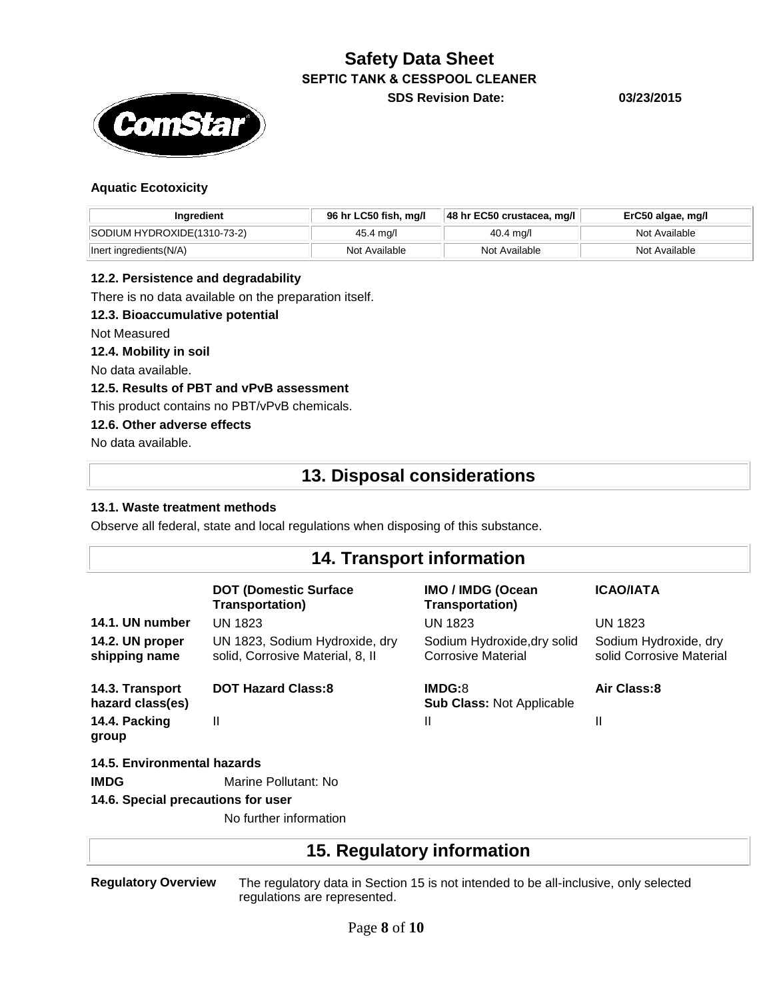

**Safety Data Sheet SEPTIC TANK & CESSPOOL CLEANER SDS Revision Date: 03/23/2015**

### **Aquatic Ecotoxicity**

| Ingredient                  | 96 hr LC50 fish, mq/l | $ 48$ hr EC50 crustacea, mg/l | ErC50 algae, mg/l |
|-----------------------------|-----------------------|-------------------------------|-------------------|
| SODIUM HYDROXIDE(1310-73-2) | 45.4 mg/l             | 40.4 ma/l                     | Not Available     |
| Inert ingredients(N/A)      | Not Available         | Not Available                 | Not Available     |

#### **12.2. Persistence and degradability**

There is no data available on the preparation itself.

#### **12.3. Bioaccumulative potential**

Not Measured

**12.4. Mobility in soil**

No data available.

#### **12.5. Results of PBT and vPvB assessment**

This product contains no PBT/vPvB chemicals.

#### **12.6. Other adverse effects**

No data available.

# **13. Disposal considerations**

#### **13.1. Waste treatment methods**

Observe all federal, state and local regulations when disposing of this substance.

## **14. Transport information**

|                                     | <b>DOT (Domestic Surface)</b><br><b>Transportation)</b>            | IMO / IMDG (Ocean<br><b>Transportation)</b>       | <b>ICAO/IATA</b>                                  |  |  |
|-------------------------------------|--------------------------------------------------------------------|---------------------------------------------------|---------------------------------------------------|--|--|
| 14.1. UN number                     | <b>UN 1823</b>                                                     | <b>UN 1823</b>                                    | <b>UN 1823</b>                                    |  |  |
| 14.2. UN proper<br>shipping name    | UN 1823, Sodium Hydroxide, dry<br>solid, Corrosive Material, 8, II | Sodium Hydroxide, dry solid<br>Corrosive Material | Sodium Hydroxide, dry<br>solid Corrosive Material |  |  |
| 14.3. Transport<br>hazard class(es) | <b>DOT Hazard Class:8</b>                                          | IMDG:8<br><b>Sub Class: Not Applicable</b>        | Air Class:8                                       |  |  |
| 14.4. Packing<br>group              | $\mathsf{I}$                                                       | Ш                                                 | Ш                                                 |  |  |
| 14.5. Environmental hazards         |                                                                    |                                                   |                                                   |  |  |
| <b>IMDG</b>                         | Marine Pollutant: No                                               |                                                   |                                                   |  |  |
| 14.6. Special precautions for user  |                                                                    |                                                   |                                                   |  |  |

No further information

## **15. Regulatory information**

**Regulatory Overview** The regulatory data in Section 15 is not intended to be all-inclusive, only selected regulations are represented.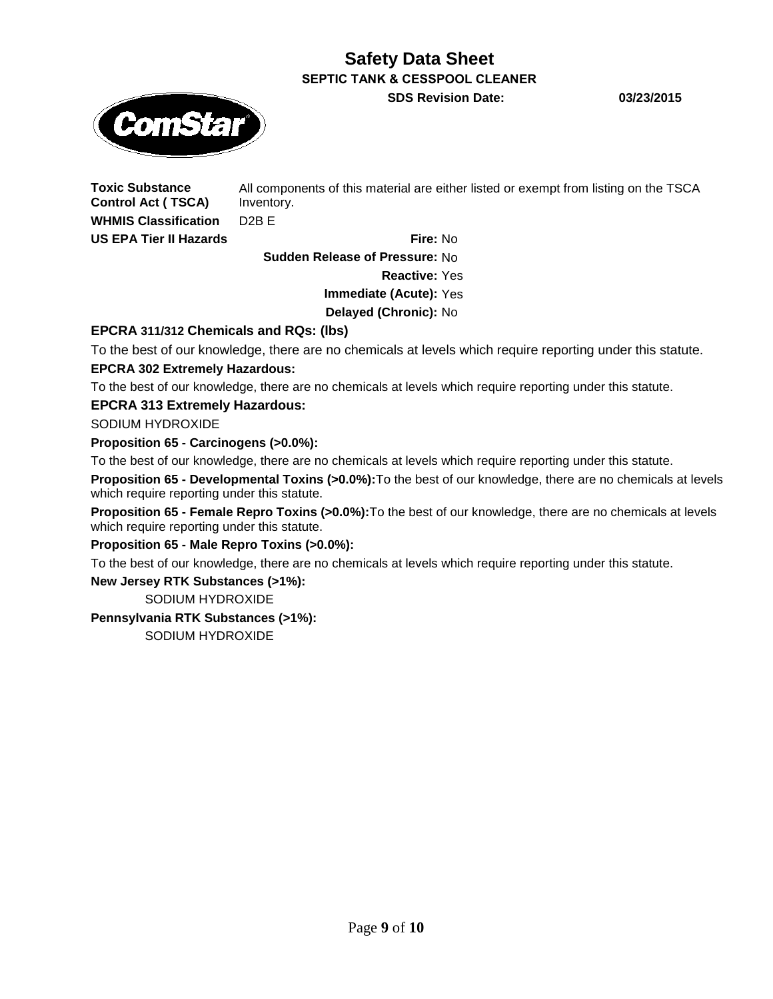**SDS Revision Date: 03/23/2015**



**Toxic Substance** 

**Control Act ( TSCA)** All components of this material are either listed or exempt from listing on the TSCA Inventory. **WHMIS Classification** D2B E

**US EPA Tier II Hazards Fire:** No

**Sudden Release of Pressure:** No

**Reactive:** Yes

**Immediate (Acute):** Yes

**Delayed (Chronic):** No

**EPCRA 311/312 Chemicals and RQs: (lbs)**

To the best of our knowledge, there are no chemicals at levels which require reporting under this statute. **EPCRA 302 Extremely Hazardous:**

To the best of our knowledge, there are no chemicals at levels which require reporting under this statute.

### **EPCRA 313 Extremely Hazardous:**

SODIUM HYDROXIDE

**Proposition 65 - Carcinogens (>0.0%):**

To the best of our knowledge, there are no chemicals at levels which require reporting under this statute.

**Proposition 65 - Developmental Toxins (>0.0%):**To the best of our knowledge, there are no chemicals at levels which require reporting under this statute.

**Proposition 65 - Female Repro Toxins (>0.0%):**To the best of our knowledge, there are no chemicals at levels which require reporting under this statute.

**Proposition 65 - Male Repro Toxins (>0.0%):**

To the best of our knowledge, there are no chemicals at levels which require reporting under this statute.

**New Jersey RTK Substances (>1%):**

SODIUM HYDROXIDE

### **Pennsylvania RTK Substances (>1%):**

SODIUM HYDROXIDE